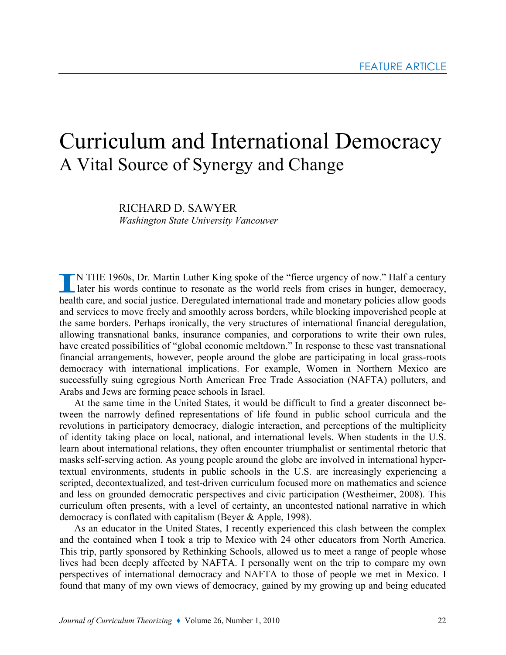# Curriculum and International Democracy A Vital Source of Synergy and Change

RICHARD D. SAWYER Washington State University Vancouver

N THE 1960s, Dr. Martin Luther King spoke of the "fierce urgency of now." Half a century later his words continue to resonate as the world reels from crises in hunger, democracy, health care, and social justice. Deregulated international trade and monetary policies allow goods and services to move freely and smoothly across borders, while blocking impoverished people at the same borders. Perhaps ironically, the very structures of international financial deregulation, allowing transnational banks, insurance companies, and corporations to write their own rules, have created possibilities of "global economic meltdown." In response to these vast transnational financial arrangements, however, people around the globe are participating in local grass-roots democracy with international implications. For example, Women in Northern Mexico are successfully suing egregious North American Free Trade Association (NAFTA) polluters, and Arabs and Jews are forming peace schools in Israel.

At the same time in the United States, it would be difficult to find a greater disconnect between the narrowly defined representations of life found in public school curricula and the revolutions in participatory democracy, dialogic interaction, and perceptions of the multiplicity of identity taking place on local, national, and international levels. When students in the U.S. learn about international relations, they often encounter triumphalist or sentimental rhetoric that masks self-serving action. As young people around the globe are involved in international hypertextual environments, students in public schools in the U.S. are increasingly experiencing a scripted, decontextualized, and test-driven curriculum focused more on mathematics and science and less on grounded democratic perspectives and civic participation (Westheimer, 2008). This curriculum often presents, with a level of certainty, an uncontested national narrative in which democracy is conflated with capitalism (Beyer & Apple, 1998).

As an educator in the United States, I recently experienced this clash between the complex and the contained when I took a trip to Mexico with 24 other educators from North America. This trip, partly sponsored by Rethinking Schools, allowed us to meet a range of people whose lives had been deeply affected by NAFTA. I personally went on the trip to compare my own perspectives of international democracy and NAFTA to those of people we met in Mexico. I found that many of my own views of democracy, gained by my growing up and being educated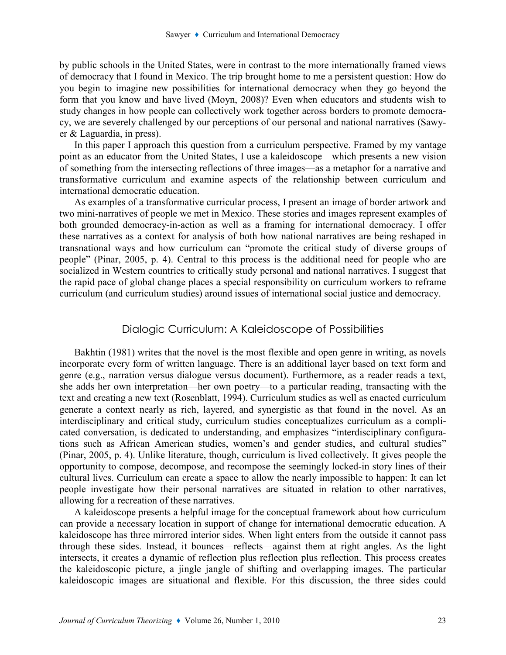by public schools in the United States, were in contrast to the more internationally framed views of democracy that I found in Mexico. The trip brought home to me a persistent question: How do you begin to imagine new possibilities for international democracy when they go beyond the form that you know and have lived (Moyn, 2008)? Even when educators and students wish to study changes in how people can collectively work together across borders to promote democracy, we are severely challenged by our perceptions of our personal and national narratives (Sawyer & Laguardia, in press).

In this paper I approach this question from a curriculum perspective. Framed by my vantage point as an educator from the United States, I use a kaleidoscope—which presents a new vision of something from the intersecting reflections of three images—as a metaphor for a narrative and transformative curriculum and examine aspects of the relationship between curriculum and international democratic education.

As examples of a transformative curricular process, I present an image of border artwork and two mini-narratives of people we met in Mexico. These stories and images represent examples of both grounded democracy-in-action as well as a framing for international democracy. I offer these narratives as a context for analysis of both how national narratives are being reshaped in transnational ways and how curriculum can "promote the critical study of diverse groups of people" (Pinar, 2005, p. 4). Central to this process is the additional need for people who are socialized in Western countries to critically study personal and national narratives. I suggest that the rapid pace of global change places a special responsibility on curriculum workers to reframe curriculum (and curriculum studies) around issues of international social justice and democracy.

### Dialogic Curriculum: A Kaleidoscope of Possibilities

Bakhtin (1981) writes that the novel is the most flexible and open genre in writing, as novels incorporate every form of written language. There is an additional layer based on text form and genre (e.g., narration versus dialogue versus document). Furthermore, as a reader reads a text, she adds her own interpretation—her own poetry—to a particular reading, transacting with the text and creating a new text (Rosenblatt, 1994). Curriculum studies as well as enacted curriculum generate a context nearly as rich, layered, and synergistic as that found in the novel. As an interdisciplinary and critical study, curriculum studies conceptualizes curriculum as a complicated conversation, is dedicated to understanding, and emphasizes "interdisciplinary configurations such as African American studies, women's and gender studies, and cultural studies" (Pinar, 2005, p. 4). Unlike literature, though, curriculum is lived collectively. It gives people the opportunity to compose, decompose, and recompose the seemingly locked-in story lines of their cultural lives. Curriculum can create a space to allow the nearly impossible to happen: It can let people investigate how their personal narratives are situated in relation to other narratives, allowing for a recreation of these narratives.

 A kaleidoscope presents a helpful image for the conceptual framework about how curriculum can provide a necessary location in support of change for international democratic education. A kaleidoscope has three mirrored interior sides. When light enters from the outside it cannot pass through these sides. Instead, it bounces—reflects—against them at right angles. As the light intersects, it creates a dynamic of reflection plus reflection plus reflection. This process creates the kaleidoscopic picture, a jingle jangle of shifting and overlapping images. The particular kaleidoscopic images are situational and flexible. For this discussion, the three sides could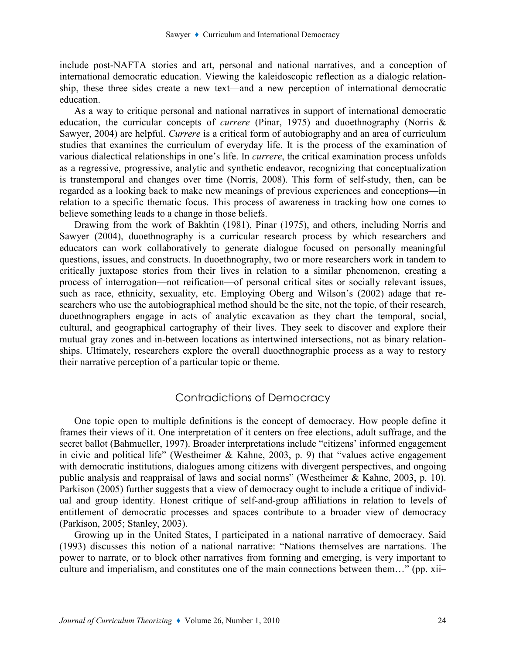include post-NAFTA stories and art, personal and national narratives, and a conception of international democratic education. Viewing the kaleidoscopic reflection as a dialogic relationship, these three sides create a new text—and a new perception of international democratic education.

As a way to critique personal and national narratives in support of international democratic education, the curricular concepts of currere (Pinar, 1975) and duoethnography (Norris & Sawyer, 2004) are helpful. Currere is a critical form of autobiography and an area of curriculum studies that examines the curriculum of everyday life. It is the process of the examination of various dialectical relationships in one's life. In currere, the critical examination process unfolds as a regressive, progressive, analytic and synthetic endeavor, recognizing that conceptualization is transtemporal and changes over time (Norris, 2008). This form of self-study, then, can be regarded as a looking back to make new meanings of previous experiences and conceptions—in relation to a specific thematic focus. This process of awareness in tracking how one comes to believe something leads to a change in those beliefs.

 Drawing from the work of Bakhtin (1981), Pinar (1975), and others, including Norris and Sawyer (2004), duoethnography is a curricular research process by which researchers and educators can work collaboratively to generate dialogue focused on personally meaningful questions, issues, and constructs. In duoethnography, two or more researchers work in tandem to critically juxtapose stories from their lives in relation to a similar phenomenon, creating a process of interrogation—not reification—of personal critical sites or socially relevant issues, such as race, ethnicity, sexuality, etc. Employing Oberg and Wilson's (2002) adage that researchers who use the autobiographical method should be the site, not the topic, of their research, duoethnographers engage in acts of analytic excavation as they chart the temporal, social, cultural, and geographical cartography of their lives. They seek to discover and explore their mutual gray zones and in-between locations as intertwined intersections, not as binary relationships. Ultimately, researchers explore the overall duoethnographic process as a way to restory their narrative perception of a particular topic or theme.

## Contradictions of Democracy

 One topic open to multiple definitions is the concept of democracy. How people define it frames their views of it. One interpretation of it centers on free elections, adult suffrage, and the secret ballot (Bahmueller, 1997). Broader interpretations include "citizens' informed engagement in civic and political life" (Westheimer & Kahne, 2003, p. 9) that "values active engagement with democratic institutions, dialogues among citizens with divergent perspectives, and ongoing public analysis and reappraisal of laws and social norms" (Westheimer & Kahne, 2003, p. 10). Parkison (2005) further suggests that a view of democracy ought to include a critique of individual and group identity. Honest critique of self-and-group affiliations in relation to levels of entitlement of democratic processes and spaces contribute to a broader view of democracy (Parkison, 2005; Stanley, 2003).

 Growing up in the United States, I participated in a national narrative of democracy. Said (1993) discusses this notion of a national narrative: "Nations themselves are narrations. The power to narrate, or to block other narratives from forming and emerging, is very important to culture and imperialism, and constitutes one of the main connections between them…" (pp. xii–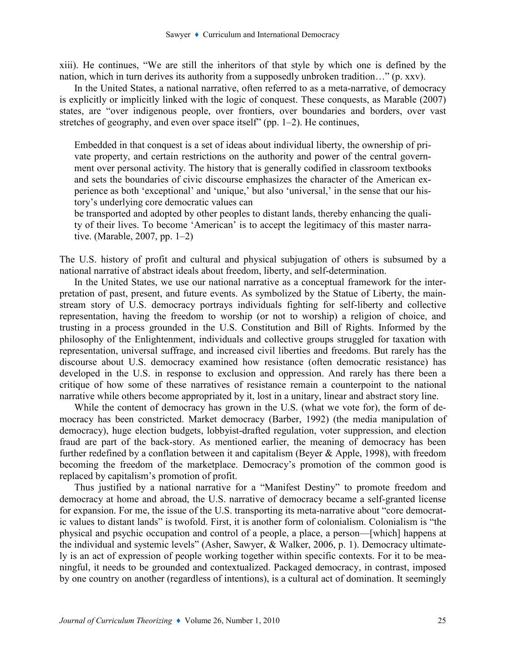xiii). He continues, "We are still the inheritors of that style by which one is defined by the nation, which in turn derives its authority from a supposedly unbroken tradition…" (p. xxv).

In the United States, a national narrative, often referred to as a meta-narrative, of democracy is explicitly or implicitly linked with the logic of conquest. These conquests, as Marable (2007) states, are "over indigenous people, over frontiers, over boundaries and borders, over vast stretches of geography, and even over space itself" (pp. 1–2). He continues,

Embedded in that conquest is a set of ideas about individual liberty, the ownership of private property, and certain restrictions on the authority and power of the central government over personal activity. The history that is generally codified in classroom textbooks and sets the boundaries of civic discourse emphasizes the character of the American experience as both 'exceptional' and 'unique,' but also 'universal,' in the sense that our history's underlying core democratic values can

be transported and adopted by other peoples to distant lands, thereby enhancing the quality of their lives. To become 'American' is to accept the legitimacy of this master narrative. (Marable, 2007, pp. 1–2)

The U.S. history of profit and cultural and physical subjugation of others is subsumed by a national narrative of abstract ideals about freedom, liberty, and self-determination.

In the United States, we use our national narrative as a conceptual framework for the interpretation of past, present, and future events. As symbolized by the Statue of Liberty, the mainstream story of U.S. democracy portrays individuals fighting for self-liberty and collective representation, having the freedom to worship (or not to worship) a religion of choice, and trusting in a process grounded in the U.S. Constitution and Bill of Rights. Informed by the philosophy of the Enlightenment, individuals and collective groups struggled for taxation with representation, universal suffrage, and increased civil liberties and freedoms. But rarely has the discourse about U.S. democracy examined how resistance (often democratic resistance) has developed in the U.S. in response to exclusion and oppression. And rarely has there been a critique of how some of these narratives of resistance remain a counterpoint to the national narrative while others become appropriated by it, lost in a unitary, linear and abstract story line.

While the content of democracy has grown in the U.S. (what we vote for), the form of democracy has been constricted. Market democracy (Barber, 1992) (the media manipulation of democracy), huge election budgets, lobbyist-drafted regulation, voter suppression, and election fraud are part of the back-story. As mentioned earlier, the meaning of democracy has been further redefined by a conflation between it and capitalism (Beyer & Apple, 1998), with freedom becoming the freedom of the marketplace. Democracy's promotion of the common good is replaced by capitalism's promotion of profit.

 Thus justified by a national narrative for a "Manifest Destiny" to promote freedom and democracy at home and abroad, the U.S. narrative of democracy became a self-granted license for expansion. For me, the issue of the U.S. transporting its meta-narrative about "core democratic values to distant lands" is twofold. First, it is another form of colonialism. Colonialism is "the physical and psychic occupation and control of a people, a place, a person—[which] happens at the individual and systemic levels" (Asher, Sawyer, & Walker, 2006, p. 1). Democracy ultimately is an act of expression of people working together within specific contexts. For it to be meaningful, it needs to be grounded and contextualized. Packaged democracy, in contrast, imposed by one country on another (regardless of intentions), is a cultural act of domination. It seemingly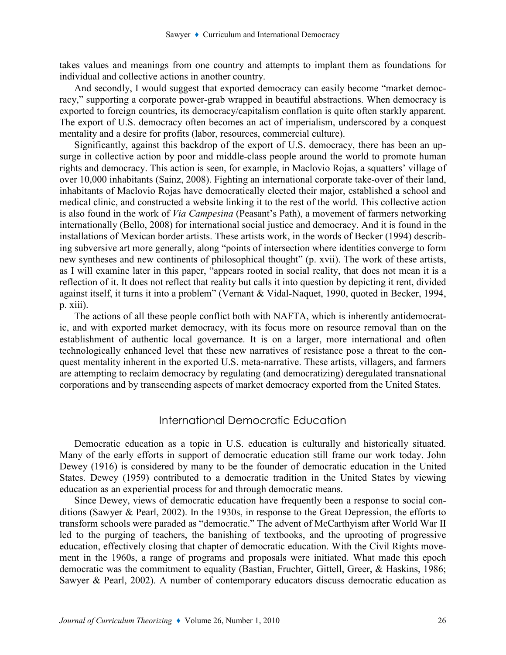takes values and meanings from one country and attempts to implant them as foundations for individual and collective actions in another country.

And secondly, I would suggest that exported democracy can easily become "market democracy," supporting a corporate power-grab wrapped in beautiful abstractions. When democracy is exported to foreign countries, its democracy/capitalism conflation is quite often starkly apparent. The export of U.S. democracy often becomes an act of imperialism, underscored by a conquest mentality and a desire for profits (labor, resources, commercial culture).

Significantly, against this backdrop of the export of U.S. democracy, there has been an upsurge in collective action by poor and middle-class people around the world to promote human rights and democracy. This action is seen, for example, in Maclovio Rojas, a squatters' village of over 10,000 inhabitants (Sainz, 2008). Fighting an international corporate take-over of their land, inhabitants of Maclovio Rojas have democratically elected their major, established a school and medical clinic, and constructed a website linking it to the rest of the world. This collective action is also found in the work of Via Campesina (Peasant's Path), a movement of farmers networking internationally (Bello, 2008) for international social justice and democracy. And it is found in the installations of Mexican border artists. These artists work, in the words of Becker (1994) describing subversive art more generally, along "points of intersection where identities converge to form new syntheses and new continents of philosophical thought" (p. xvii). The work of these artists, as I will examine later in this paper, "appears rooted in social reality, that does not mean it is a reflection of it. It does not reflect that reality but calls it into question by depicting it rent, divided against itself, it turns it into a problem" (Vernant & Vidal-Naquet, 1990, quoted in Becker, 1994, p. xiii).

The actions of all these people conflict both with NAFTA, which is inherently antidemocratic, and with exported market democracy, with its focus more on resource removal than on the establishment of authentic local governance. It is on a larger, more international and often technologically enhanced level that these new narratives of resistance pose a threat to the conquest mentality inherent in the exported U.S. meta-narrative. These artists, villagers, and farmers are attempting to reclaim democracy by regulating (and democratizing) deregulated transnational corporations and by transcending aspects of market democracy exported from the United States.

### International Democratic Education

Democratic education as a topic in U.S. education is culturally and historically situated. Many of the early efforts in support of democratic education still frame our work today. John Dewey (1916) is considered by many to be the founder of democratic education in the United States. Dewey (1959) contributed to a democratic tradition in the United States by viewing education as an experiential process for and through democratic means.

Since Dewey, views of democratic education have frequently been a response to social conditions (Sawyer & Pearl, 2002). In the 1930s, in response to the Great Depression, the efforts to transform schools were paraded as "democratic." The advent of McCarthyism after World War II led to the purging of teachers, the banishing of textbooks, and the uprooting of progressive education, effectively closing that chapter of democratic education. With the Civil Rights movement in the 1960s, a range of programs and proposals were initiated. What made this epoch democratic was the commitment to equality (Bastian, Fruchter, Gittell, Greer, & Haskins, 1986; Sawyer & Pearl, 2002). A number of contemporary educators discuss democratic education as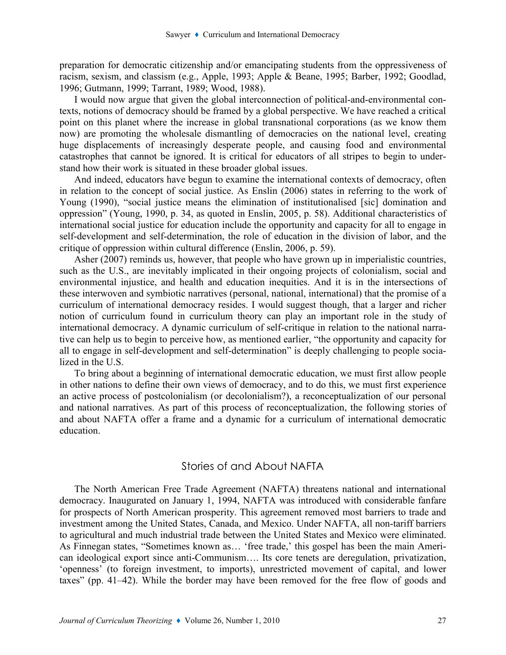preparation for democratic citizenship and/or emancipating students from the oppressiveness of racism, sexism, and classism (e.g., Apple, 1993; Apple & Beane, 1995; Barber, 1992; Goodlad, 1996; Gutmann, 1999; Tarrant, 1989; Wood, 1988).

I would now argue that given the global interconnection of political-and-environmental contexts, notions of democracy should be framed by a global perspective. We have reached a critical point on this planet where the increase in global transnational corporations (as we know them now) are promoting the wholesale dismantling of democracies on the national level, creating huge displacements of increasingly desperate people, and causing food and environmental catastrophes that cannot be ignored. It is critical for educators of all stripes to begin to understand how their work is situated in these broader global issues.

And indeed, educators have begun to examine the international contexts of democracy, often in relation to the concept of social justice. As Enslin (2006) states in referring to the work of Young (1990), "social justice means the elimination of institutionalised [sic] domination and oppression" (Young, 1990, p. 34, as quoted in Enslin, 2005, p. 58). Additional characteristics of international social justice for education include the opportunity and capacity for all to engage in self-development and self-determination, the role of education in the division of labor, and the critique of oppression within cultural difference (Enslin, 2006, p. 59).

 Asher (2007) reminds us, however, that people who have grown up in imperialistic countries, such as the U.S., are inevitably implicated in their ongoing projects of colonialism, social and environmental injustice, and health and education inequities. And it is in the intersections of these interwoven and symbiotic narratives (personal, national, international) that the promise of a curriculum of international democracy resides. I would suggest though, that a larger and richer notion of curriculum found in curriculum theory can play an important role in the study of international democracy. A dynamic curriculum of self-critique in relation to the national narrative can help us to begin to perceive how, as mentioned earlier, "the opportunity and capacity for all to engage in self-development and self-determination" is deeply challenging to people socialized in the U.S.

To bring about a beginning of international democratic education, we must first allow people in other nations to define their own views of democracy, and to do this, we must first experience an active process of postcolonialism (or decolonialism?), a reconceptualization of our personal and national narratives. As part of this process of reconceptualization, the following stories of and about NAFTA offer a frame and a dynamic for a curriculum of international democratic education.

#### Stories of and About NAFTA

The North American Free Trade Agreement (NAFTA) threatens national and international democracy. Inaugurated on January 1, 1994, NAFTA was introduced with considerable fanfare for prospects of North American prosperity. This agreement removed most barriers to trade and investment among the United States, Canada, and Mexico. Under NAFTA, all non-tariff barriers to agricultural and much industrial trade between the United States and Mexico were eliminated. As Finnegan states, "Sometimes known as… 'free trade,' this gospel has been the main American ideological export since anti-Communism…. Its core tenets are deregulation, privatization, 'openness' (to foreign investment, to imports), unrestricted movement of capital, and lower taxes" (pp. 41–42). While the border may have been removed for the free flow of goods and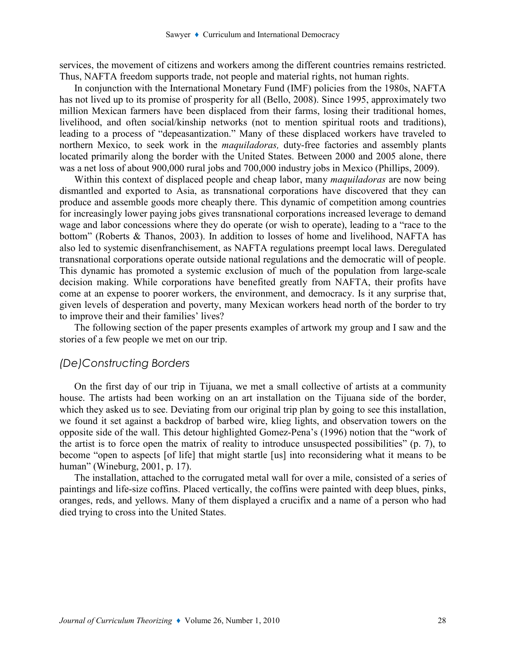services, the movement of citizens and workers among the different countries remains restricted. Thus, NAFTA freedom supports trade, not people and material rights, not human rights.

In conjunction with the International Monetary Fund (IMF) policies from the 1980s, NAFTA has not lived up to its promise of prosperity for all (Bello, 2008). Since 1995, approximately two million Mexican farmers have been displaced from their farms, losing their traditional homes, livelihood, and often social/kinship networks (not to mention spiritual roots and traditions), leading to a process of "depeasantization." Many of these displaced workers have traveled to northern Mexico, to seek work in the *maquiladoras*, duty-free factories and assembly plants located primarily along the border with the United States. Between 2000 and 2005 alone, there was a net loss of about 900,000 rural jobs and 700,000 industry jobs in Mexico (Phillips, 2009).

Within this context of displaced people and cheap labor, many *maquiladoras* are now being dismantled and exported to Asia, as transnational corporations have discovered that they can produce and assemble goods more cheaply there. This dynamic of competition among countries for increasingly lower paying jobs gives transnational corporations increased leverage to demand wage and labor concessions where they do operate (or wish to operate), leading to a "race to the bottom" (Roberts & Thanos, 2003). In addition to losses of home and livelihood, NAFTA has also led to systemic disenfranchisement, as NAFTA regulations preempt local laws. Deregulated transnational corporations operate outside national regulations and the democratic will of people. This dynamic has promoted a systemic exclusion of much of the population from large-scale decision making. While corporations have benefited greatly from NAFTA, their profits have come at an expense to poorer workers, the environment, and democracy. Is it any surprise that, given levels of desperation and poverty, many Mexican workers head north of the border to try to improve their and their families' lives?

The following section of the paper presents examples of artwork my group and I saw and the stories of a few people we met on our trip.

#### (De)Constructing Borders

On the first day of our trip in Tijuana, we met a small collective of artists at a community house. The artists had been working on an art installation on the Tijuana side of the border, which they asked us to see. Deviating from our original trip plan by going to see this installation, we found it set against a backdrop of barbed wire, klieg lights, and observation towers on the opposite side of the wall. This detour highlighted Gomez-Pena's (1996) notion that the "work of the artist is to force open the matrix of reality to introduce unsuspected possibilities" (p. 7), to become "open to aspects [of life] that might startle [us] into reconsidering what it means to be human" (Wineburg, 2001, p. 17).

The installation, attached to the corrugated metal wall for over a mile, consisted of a series of paintings and life-size coffins. Placed vertically, the coffins were painted with deep blues, pinks, oranges, reds, and yellows. Many of them displayed a crucifix and a name of a person who had died trying to cross into the United States.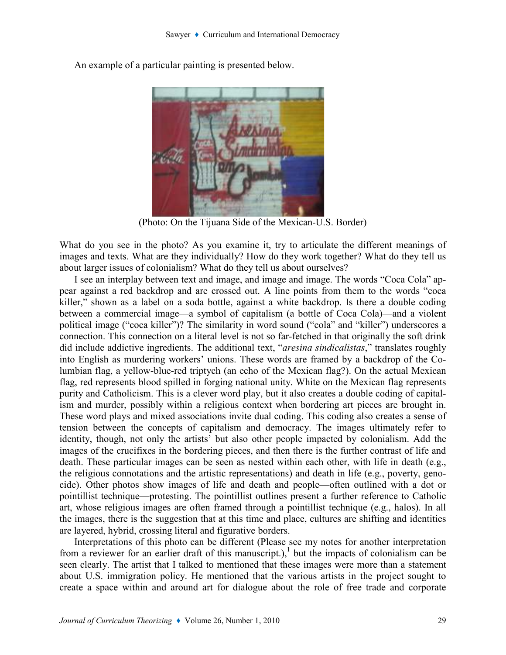

An example of a particular painting is presented below.

(Photo: On the Tijuana Side of the Mexican-U.S. Border)

What do you see in the photo? As you examine it, try to articulate the different meanings of images and texts. What are they individually? How do they work together? What do they tell us about larger issues of colonialism? What do they tell us about ourselves?

I see an interplay between text and image, and image and image. The words "Coca Cola" appear against a red backdrop and are crossed out. A line points from them to the words "coca killer," shown as a label on a soda bottle, against a white backdrop. Is there a double coding between a commercial image—a symbol of capitalism (a bottle of Coca Cola)—and a violent political image ("coca killer")? The similarity in word sound ("cola" and "killer") underscores a connection. This connection on a literal level is not so far-fetched in that originally the soft drink did include addictive ingredients. The additional text, "*aresina sindicalistas*," translates roughly into English as murdering workers' unions. These words are framed by a backdrop of the Columbian flag, a yellow-blue-red triptych (an echo of the Mexican flag?). On the actual Mexican flag, red represents blood spilled in forging national unity. White on the Mexican flag represents purity and Catholicism. This is a clever word play, but it also creates a double coding of capitalism and murder, possibly within a religious context when bordering art pieces are brought in. These word plays and mixed associations invite dual coding. This coding also creates a sense of tension between the concepts of capitalism and democracy. The images ultimately refer to identity, though, not only the artists' but also other people impacted by colonialism. Add the images of the crucifixes in the bordering pieces, and then there is the further contrast of life and death. These particular images can be seen as nested within each other, with life in death (e.g., the religious connotations and the artistic representations) and death in life (e.g., poverty, genocide). Other photos show images of life and death and people—often outlined with a dot or pointillist technique—protesting. The pointillist outlines present a further reference to Catholic art, whose religious images are often framed through a pointillist technique (e.g., halos). In all the images, there is the suggestion that at this time and place, cultures are shifting and identities are layered, hybrid, crossing literal and figurative borders.

Interpretations of this photo can be different (Please see my notes for another interpretation from a reviewer for an earlier draft of this manuscript.),<sup>1</sup> but the impacts of colonialism can be seen clearly. The artist that I talked to mentioned that these images were more than a statement about U.S. immigration policy. He mentioned that the various artists in the project sought to create a space within and around art for dialogue about the role of free trade and corporate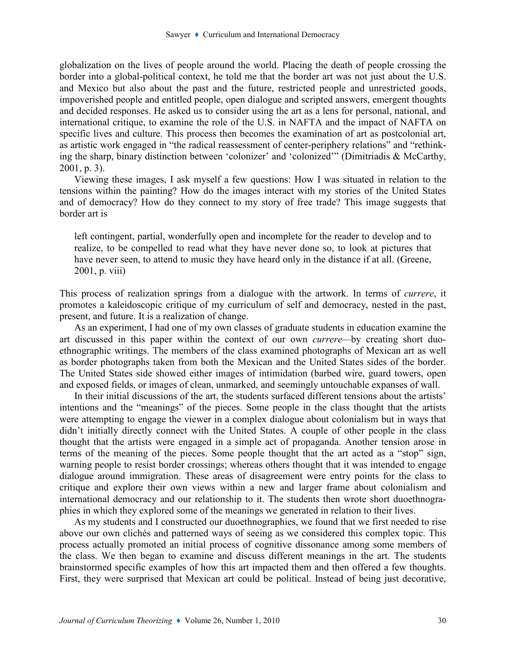globalization on the lives of people around the world. Placing the death of people crossing the border into a global-political context, he told me that the border art was not just about the U.S. and Mexico but also about the past and the future, restricted people and unrestricted goods, impoverished people and entitled people, open dialogue and scripted answers, emergent thoughts and decided responses. He asked us to consider using the art as a lens for personal, national, and international critique, to examine the role of the U.S. in NAFTA and the impact of NAFTA on specific lives and culture. This process then becomes the examination of art as postcolonial art, as artistic work engaged in "the radical reassessment of center-periphery relations" and "rethinking the sharp, binary distinction between 'colonizer' and 'colonized'" (Dimitriadis & McCarthy, 2001, p. 3).

Viewing these images, I ask myself a few questions: How I was situated in relation to the tensions within the painting? How do the images interact with my stories of the United States and of democracy? How do they connect to my story of free trade? This image suggests that border art is

left contingent, partial, wonderfully open and incomplete for the reader to develop and to realize, to be compelled to read what they have never done so, to look at pictures that have never seen, to attend to music they have heard only in the distance if at all. (Greene, 2001, p. viii)

This process of realization springs from a dialogue with the artwork. In terms of currere, it promotes a kaleidoscopic critique of my curriculum of self and democracy, nested in the past, present, and future. It is a realization of change.

As an experiment, I had one of my own classes of graduate students in education examine the art discussed in this paper within the context of our own currere—by creating short duoethnographic writings. The members of the class examined photographs of Mexican art as well as border photographs taken from both the Mexican and the United States sides of the border. The United States side showed either images of intimidation (barbed wire, guard towers, open and exposed fields, or images of clean, unmarked, and seemingly untouchable expanses of wall.

In their initial discussions of the art, the students surfaced different tensions about the artists' intentions and the "meanings" of the pieces. Some people in the class thought that the artists were attempting to engage the viewer in a complex dialogue about colonialism but in ways that didn't initially directly connect with the United States. A couple of other people in the class thought that the artists were engaged in a simple act of propaganda. Another tension arose in terms of the meaning of the pieces. Some people thought that the art acted as a "stop" sign, warning people to resist border crossings; whereas others thought that it was intended to engage dialogue around immigration. These areas of disagreement were entry points for the class to critique and explore their own views within a new and larger frame about colonialism and international democracy and our relationship to it. The students then wrote short duoethnographies in which they explored some of the meanings we generated in relation to their lives.

As my students and I constructed our duoethnographies, we found that we first needed to rise above our own clichés and patterned ways of seeing as we considered this complex topic. This process actually promoted an initial process of cognitive dissonance among some members of the class. We then began to examine and discuss different meanings in the art. The students brainstormed specific examples of how this art impacted them and then offered a few thoughts. First, they were surprised that Mexican art could be political. Instead of being just decorative,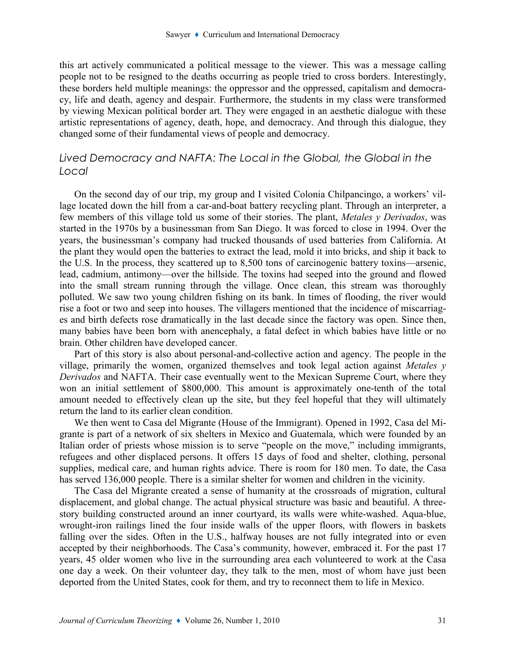this art actively communicated a political message to the viewer. This was a message calling people not to be resigned to the deaths occurring as people tried to cross borders. Interestingly, these borders held multiple meanings: the oppressor and the oppressed, capitalism and democracy, life and death, agency and despair. Furthermore, the students in my class were transformed by viewing Mexican political border art. They were engaged in an aesthetic dialogue with these artistic representations of agency, death, hope, and democracy. And through this dialogue, they changed some of their fundamental views of people and democracy.

## Lived Democracy and NAFTA: The Local in the Global, the Global in the Local

On the second day of our trip, my group and I visited Colonia Chilpancingo, a workers' village located down the hill from a car-and-boat battery recycling plant. Through an interpreter, a few members of this village told us some of their stories. The plant, Metales y Derivados, was started in the 1970s by a businessman from San Diego. It was forced to close in 1994. Over the years, the businessman's company had trucked thousands of used batteries from California. At the plant they would open the batteries to extract the lead, mold it into bricks, and ship it back to the U.S. In the process, they scattered up to 8,500 tons of carcinogenic battery toxins—arsenic, lead, cadmium, antimony—over the hillside. The toxins had seeped into the ground and flowed into the small stream running through the village. Once clean, this stream was thoroughly polluted. We saw two young children fishing on its bank. In times of flooding, the river would rise a foot or two and seep into houses. The villagers mentioned that the incidence of miscarriages and birth defects rose dramatically in the last decade since the factory was open. Since then, many babies have been born with anencephaly, a fatal defect in which babies have little or no brain. Other children have developed cancer.

Part of this story is also about personal-and-collective action and agency. The people in the village, primarily the women, organized themselves and took legal action against *Metales*  $\nu$ Derivados and NAFTA. Their case eventually went to the Mexican Supreme Court, where they won an initial settlement of \$800,000. This amount is approximately one-tenth of the total amount needed to effectively clean up the site, but they feel hopeful that they will ultimately return the land to its earlier clean condition.

We then went to Casa del Migrante (House of the Immigrant). Opened in 1992, Casa del Migrante is part of a network of six shelters in Mexico and Guatemala, which were founded by an Italian order of priests whose mission is to serve "people on the move," including immigrants, refugees and other displaced persons. It offers 15 days of food and shelter, clothing, personal supplies, medical care, and human rights advice. There is room for 180 men. To date, the Casa has served 136,000 people. There is a similar shelter for women and children in the vicinity.

The Casa del Migrante created a sense of humanity at the crossroads of migration, cultural displacement, and global change. The actual physical structure was basic and beautiful. A threestory building constructed around an inner courtyard, its walls were white-washed. Aqua-blue, wrought-iron railings lined the four inside walls of the upper floors, with flowers in baskets falling over the sides. Often in the U.S., halfway houses are not fully integrated into or even accepted by their neighborhoods. The Casa's community, however, embraced it. For the past 17 years, 45 older women who live in the surrounding area each volunteered to work at the Casa one day a week. On their volunteer day, they talk to the men, most of whom have just been deported from the United States, cook for them, and try to reconnect them to life in Mexico.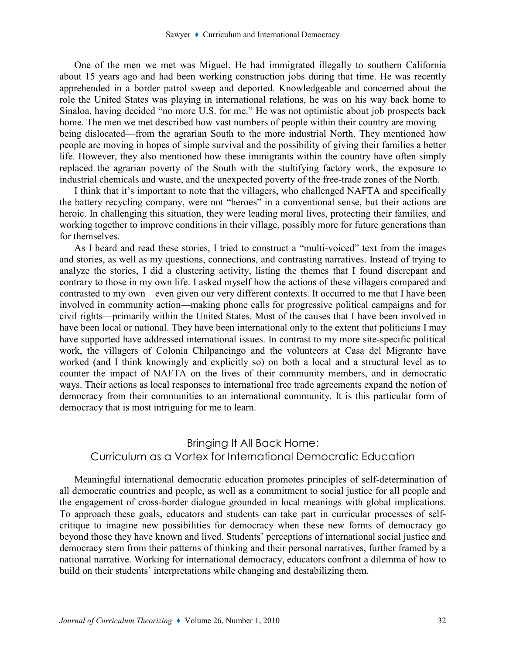One of the men we met was Miguel. He had immigrated illegally to southern California about 15 years ago and had been working construction jobs during that time. He was recently apprehended in a border patrol sweep and deported. Knowledgeable and concerned about the role the United States was playing in international relations, he was on his way back home to Sinaloa, having decided "no more U.S. for me." He was not optimistic about job prospects back home. The men we met described how vast numbers of people within their country are moving being dislocated—from the agrarian South to the more industrial North. They mentioned how people are moving in hopes of simple survival and the possibility of giving their families a better life. However, they also mentioned how these immigrants within the country have often simply replaced the agrarian poverty of the South with the stultifying factory work, the exposure to industrial chemicals and waste, and the unexpected poverty of the free-trade zones of the North.

I think that it's important to note that the villagers, who challenged NAFTA and specifically the battery recycling company, were not "heroes" in a conventional sense, but their actions are heroic. In challenging this situation, they were leading moral lives, protecting their families, and working together to improve conditions in their village, possibly more for future generations than for themselves.

As I heard and read these stories, I tried to construct a "multi-voiced" text from the images and stories, as well as my questions, connections, and contrasting narratives. Instead of trying to analyze the stories, I did a clustering activity, listing the themes that I found discrepant and contrary to those in my own life. I asked myself how the actions of these villagers compared and contrasted to my own—even given our very different contexts. It occurred to me that I have been involved in community action—making phone calls for progressive political campaigns and for civil rights—primarily within the United States. Most of the causes that I have been involved in have been local or national. They have been international only to the extent that politicians I may have supported have addressed international issues. In contrast to my more site-specific political work, the villagers of Colonia Chilpancingo and the volunteers at Casa del Migrante have worked (and I think knowingly and explicitly so) on both a local and a structural level as to counter the impact of NAFTA on the lives of their community members, and in democratic ways. Their actions as local responses to international free trade agreements expand the notion of democracy from their communities to an international community. It is this particular form of democracy that is most intriguing for me to learn.

# Bringing It All Back Home: Curriculum as a Vortex for International Democratic Education

Meaningful international democratic education promotes principles of self-determination of all democratic countries and people, as well as a commitment to social justice for all people and the engagement of cross-border dialogue grounded in local meanings with global implications. To approach these goals, educators and students can take part in curricular processes of selfcritique to imagine new possibilities for democracy when these new forms of democracy go beyond those they have known and lived. Students' perceptions of international social justice and democracy stem from their patterns of thinking and their personal narratives, further framed by a national narrative. Working for international democracy, educators confront a dilemma of how to build on their students' interpretations while changing and destabilizing them.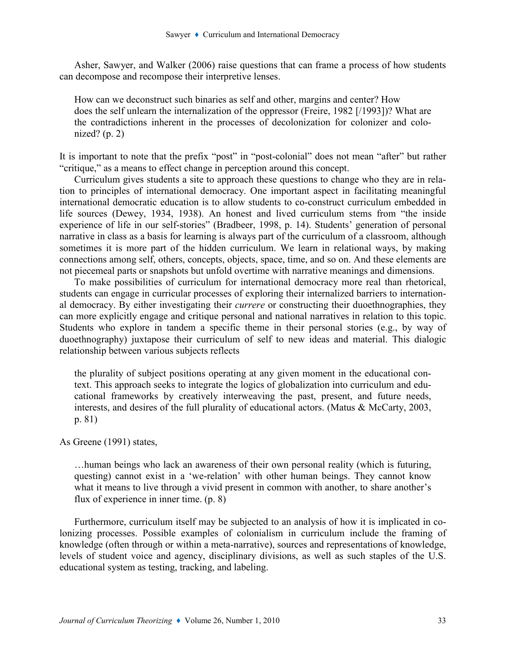Asher, Sawyer, and Walker (2006) raise questions that can frame a process of how students can decompose and recompose their interpretive lenses.

How can we deconstruct such binaries as self and other, margins and center? How does the self unlearn the internalization of the oppressor (Freire, 1982 [/1993])? What are the contradictions inherent in the processes of decolonization for colonizer and colonized?  $(p. 2)$ 

It is important to note that the prefix "post" in "post-colonial" does not mean "after" but rather "critique," as a means to effect change in perception around this concept.

Curriculum gives students a site to approach these questions to change who they are in relation to principles of international democracy. One important aspect in facilitating meaningful international democratic education is to allow students to co-construct curriculum embedded in life sources (Dewey, 1934, 1938). An honest and lived curriculum stems from "the inside experience of life in our self-stories" (Bradbeer, 1998, p. 14). Students' generation of personal narrative in class as a basis for learning is always part of the curriculum of a classroom, although sometimes it is more part of the hidden curriculum. We learn in relational ways, by making connections among self, others, concepts, objects, space, time, and so on. And these elements are not piecemeal parts or snapshots but unfold overtime with narrative meanings and dimensions.

To make possibilities of curriculum for international democracy more real than rhetorical, students can engage in curricular processes of exploring their internalized barriers to international democracy. By either investigating their currere or constructing their duoethnographies, they can more explicitly engage and critique personal and national narratives in relation to this topic. Students who explore in tandem a specific theme in their personal stories (e.g., by way of duoethnography) juxtapose their curriculum of self to new ideas and material. This dialogic relationship between various subjects reflects

the plurality of subject positions operating at any given moment in the educational context. This approach seeks to integrate the logics of globalization into curriculum and educational frameworks by creatively interweaving the past, present, and future needs, interests, and desires of the full plurality of educational actors. (Matus & McCarty, 2003, p. 81)

As Greene (1991) states,

…human beings who lack an awareness of their own personal reality (which is futuring, questing) cannot exist in a 'we-relation' with other human beings. They cannot know what it means to live through a vivid present in common with another, to share another's flux of experience in inner time. (p. 8)

Furthermore, curriculum itself may be subjected to an analysis of how it is implicated in colonizing processes. Possible examples of colonialism in curriculum include the framing of knowledge (often through or within a meta-narrative), sources and representations of knowledge, levels of student voice and agency, disciplinary divisions, as well as such staples of the U.S. educational system as testing, tracking, and labeling.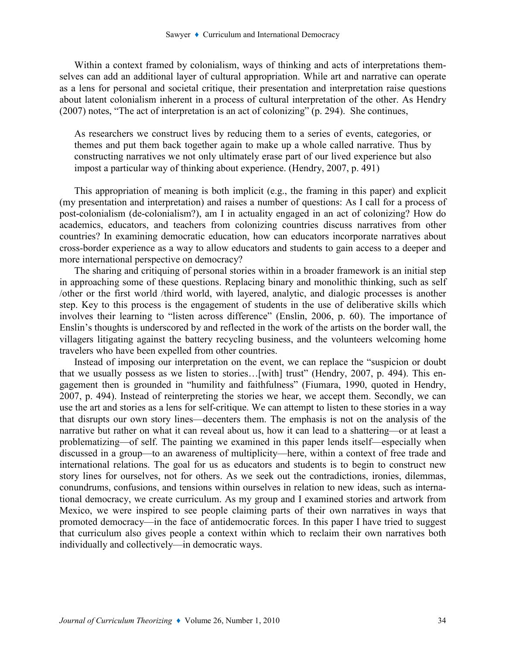Within a context framed by colonialism, ways of thinking and acts of interpretations themselves can add an additional layer of cultural appropriation. While art and narrative can operate as a lens for personal and societal critique, their presentation and interpretation raise questions about latent colonialism inherent in a process of cultural interpretation of the other. As Hendry (2007) notes, "The act of interpretation is an act of colonizing" (p. 294). She continues,

As researchers we construct lives by reducing them to a series of events, categories, or themes and put them back together again to make up a whole called narrative. Thus by constructing narratives we not only ultimately erase part of our lived experience but also impost a particular way of thinking about experience. (Hendry, 2007, p. 491)

This appropriation of meaning is both implicit (e.g., the framing in this paper) and explicit (my presentation and interpretation) and raises a number of questions: As I call for a process of post-colonialism (de-colonialism?), am I in actuality engaged in an act of colonizing? How do academics, educators, and teachers from colonizing countries discuss narratives from other countries? In examining democratic education, how can educators incorporate narratives about cross-border experience as a way to allow educators and students to gain access to a deeper and more international perspective on democracy?

The sharing and critiquing of personal stories within in a broader framework is an initial step in approaching some of these questions. Replacing binary and monolithic thinking, such as self /other or the first world /third world, with layered, analytic, and dialogic processes is another step. Key to this process is the engagement of students in the use of deliberative skills which involves their learning to "listen across difference" (Enslin, 2006, p. 60). The importance of Enslin's thoughts is underscored by and reflected in the work of the artists on the border wall, the villagers litigating against the battery recycling business, and the volunteers welcoming home travelers who have been expelled from other countries.

Instead of imposing our interpretation on the event, we can replace the "suspicion or doubt that we usually possess as we listen to stories…[with] trust" (Hendry, 2007, p. 494). This engagement then is grounded in "humility and faithfulness" (Fiumara, 1990, quoted in Hendry, 2007, p. 494). Instead of reinterpreting the stories we hear, we accept them. Secondly, we can use the art and stories as a lens for self-critique. We can attempt to listen to these stories in a way that disrupts our own story lines—decenters them. The emphasis is not on the analysis of the narrative but rather on what it can reveal about us, how it can lead to a shattering—or at least a problematizing—of self. The painting we examined in this paper lends itself—especially when discussed in a group—to an awareness of multiplicity—here, within a context of free trade and international relations. The goal for us as educators and students is to begin to construct new story lines for ourselves, not for others. As we seek out the contradictions, ironies, dilemmas, conundrums, confusions, and tensions within ourselves in relation to new ideas, such as international democracy, we create curriculum. As my group and I examined stories and artwork from Mexico, we were inspired to see people claiming parts of their own narratives in ways that promoted democracy—in the face of antidemocratic forces. In this paper I have tried to suggest that curriculum also gives people a context within which to reclaim their own narratives both individually and collectively—in democratic ways.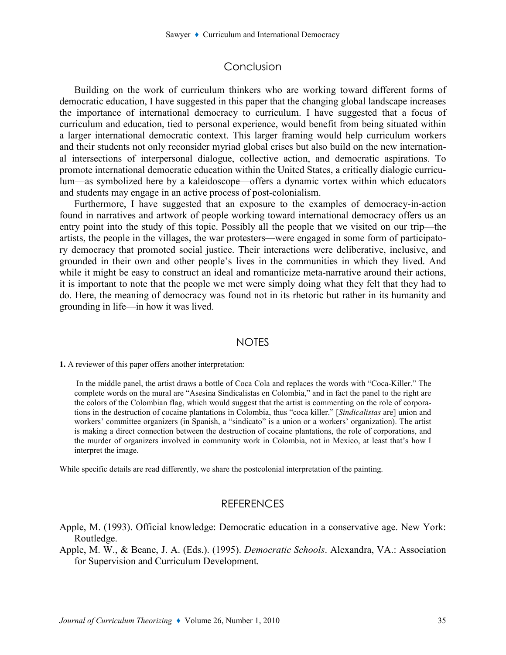## Conclusion

Building on the work of curriculum thinkers who are working toward different forms of democratic education, I have suggested in this paper that the changing global landscape increases the importance of international democracy to curriculum. I have suggested that a focus of curriculum and education, tied to personal experience, would benefit from being situated within a larger international democratic context. This larger framing would help curriculum workers and their students not only reconsider myriad global crises but also build on the new international intersections of interpersonal dialogue, collective action, and democratic aspirations. To promote international democratic education within the United States, a critically dialogic curriculum—as symbolized here by a kaleidoscope—offers a dynamic vortex within which educators and students may engage in an active process of post-colonialism.

Furthermore, I have suggested that an exposure to the examples of democracy-in-action found in narratives and artwork of people working toward international democracy offers us an entry point into the study of this topic. Possibly all the people that we visited on our trip—the artists, the people in the villages, the war protesters—were engaged in some form of participatory democracy that promoted social justice. Their interactions were deliberative, inclusive, and grounded in their own and other people's lives in the communities in which they lived. And while it might be easy to construct an ideal and romanticize meta-narrative around their actions, it is important to note that the people we met were simply doing what they felt that they had to do. Here, the meaning of democracy was found not in its rhetoric but rather in its humanity and grounding in life—in how it was lived.

#### **NOTES**

1. A reviewer of this paper offers another interpretation:

 In the middle panel, the artist draws a bottle of Coca Cola and replaces the words with "Coca-Killer." The complete words on the mural are "Asesina Sindicalistas en Colombia," and in fact the panel to the right are the colors of the Colombian flag, which would suggest that the artist is commenting on the role of corporations in the destruction of cocaine plantations in Colombia, thus "coca killer." [Sindicalistas are] union and workers' committee organizers (in Spanish, a "sindicato" is a union or a workers' organization). The artist is making a direct connection between the destruction of cocaine plantations, the role of corporations, and the murder of organizers involved in community work in Colombia, not in Mexico, at least that's how I interpret the image.

While specific details are read differently, we share the postcolonial interpretation of the painting.

### **REFERENCES**

Apple, M. (1993). Official knowledge: Democratic education in a conservative age. New York: Routledge.

Apple, M. W., & Beane, J. A. (Eds.). (1995). Democratic Schools. Alexandra, VA.: Association for Supervision and Curriculum Development.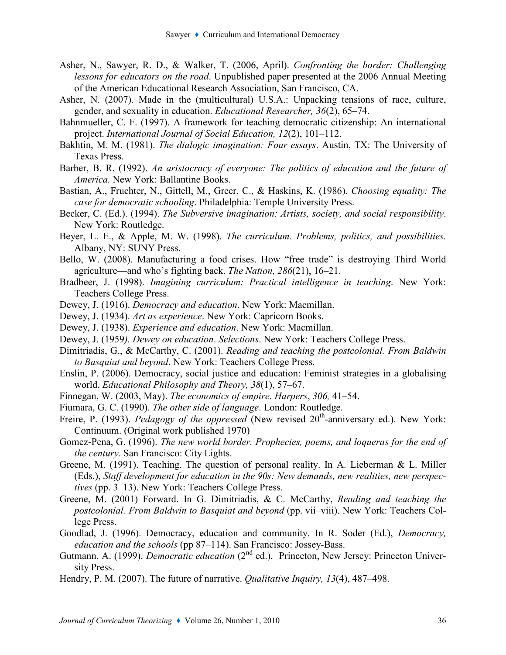- Asher, N., Sawyer, R. D., & Walker, T. (2006, April). Confronting the border: Challenging lessons for educators on the road. Unpublished paper presented at the 2006 Annual Meeting of the American Educational Research Association, San Francisco, CA.
- Asher, N. (2007). Made in the (multicultural) U.S.A.: Unpacking tensions of race, culture, gender, and sexuality in education. Educational Researcher, 36(2), 65–74.
- Bahnmueller, C. F. (1997). A framework for teaching democratic citizenship: An international project. International Journal of Social Education, 12(2), 101–112.
- Bakhtin, M. M. (1981). The dialogic imagination: Four essays. Austin, TX: The University of Texas Press.
- Barber, B. R. (1992). An aristocracy of everyone: The politics of education and the future of America. New York: Ballantine Books.
- Bastian, A., Fruchter, N., Gittell, M., Greer, C., & Haskins, K. (1986). Choosing equality: The case for democratic schooling. Philadelphia: Temple University Press.
- Becker, C. (Ed.). (1994). The Subversive imagination: Artists, society, and social responsibility. New York: Routledge.
- Beyer, L. E., & Apple, M. W. (1998). The curriculum. Problems, politics, and possibilities. Albany, NY: SUNY Press.
- Bello, W. (2008). Manufacturing a food crises. How "free trade" is destroying Third World agriculture—and who's fighting back. The Nation, 286(21), 16–21.
- Bradbeer, J. (1998). Imagining curriculum: Practical intelligence in teaching. New York: Teachers College Press.
- Dewey, J. (1916). Democracy and education. New York: Macmillan.
- Dewey, J. (1934). Art as experience. New York: Capricorn Books.
- Dewey, J. (1938). Experience and education. New York: Macmillan.
- Dewey, J. (1959). Dewey on education. Selections. New York: Teachers College Press.
- Dimitriadis, G., & McCarthy, C. (2001). Reading and teaching the postcolonial. From Baldwin to Basquiat and beyond. New York: Teachers College Press.
- Enslin, P. (2006). Democracy, social justice and education: Feminist strategies in a globalising world. Educational Philosophy and Theory, 38(1), 57–67.
- Finnegan, W. (2003, May). The economics of empire. Harpers, 306, 41–54.
- Fiumara, G. C. (1990). The other side of language. London: Routledge.
- Freire, P. (1993). *Pedagogy of the oppressed* (New revised  $20<sup>th</sup>$ -anniversary ed.). New York: Continuum. (Original work published 1970)
- Gomez-Pena, G. (1996). The new world border. Prophecies, poems, and loqueras for the end of the century. San Francisco: City Lights.
- Greene, M. (1991). Teaching. The question of personal reality. In A. Lieberman & L. Miller (Eds.), Staff development for education in the 90s: New demands, new realities, new perspectives (pp. 3–13). New York: Teachers College Press.
- Greene, M. (2001) Forward. In G. Dimitriadis, & C. McCarthy, Reading and teaching the postcolonial. From Baldwin to Basquiat and beyond (pp. vii–viii). New York: Teachers College Press.
- Goodlad, J. (1996). Democracy, education and community. In R. Soder (Ed.), Democracy, education and the schools (pp 87–114). San Francisco: Jossey-Bass.
- Gutmann, A. (1999). *Democratic education* ( $2<sup>nd</sup>$  ed.). Princeton, New Jersey: Princeton University Press.
- Hendry, P. M. (2007). The future of narrative. Qualitative Inquiry, 13(4), 487–498.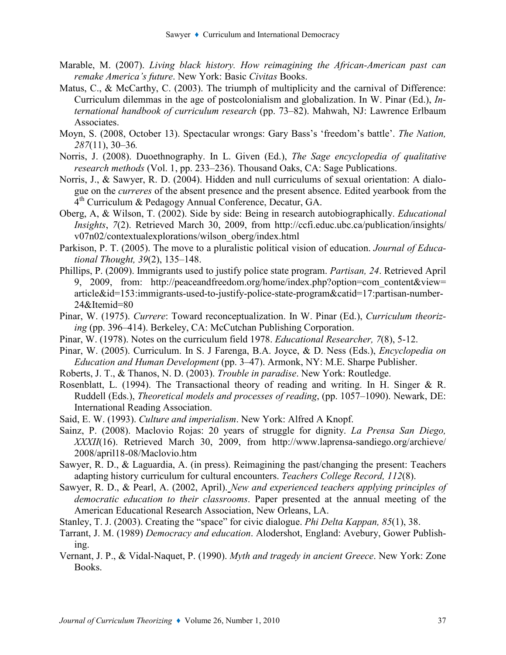- Marable, M. (2007). Living black history. How reimagining the African-American past can remake America's future. New York: Basic Civitas Books.
- Matus, C., & McCarthy, C. (2003). The triumph of multiplicity and the carnival of Difference: Curriculum dilemmas in the age of postcolonialism and globalization. In W. Pinar (Ed.), International handbook of curriculum research (pp. 73–82). Mahwah, NJ: Lawrence Erlbaum Associates.
- Moyn, S. (2008, October 13). Spectacular wrongs: Gary Bass's 'freedom's battle'. The Nation, 287(11), 30–36.
- Norris, J. (2008). Duoethnography. In L. Given (Ed.), The Sage encyclopedia of qualitative research methods (Vol. 1, pp. 233–236). Thousand Oaks, CA: Sage Publications.
- Norris, J., & Sawyer, R. D. (2004). Hidden and null curriculums of sexual orientation: A dialogue on the curreres of the absent presence and the present absence. Edited yearbook from the 4 th Curriculum & Pedagogy Annual Conference, Decatur, GA.
- Oberg, A, & Wilson, T. (2002). Side by side: Being in research autobiographically. Educational Insights, 7(2). Retrieved March 30, 2009, from http://ccfi.educ.ubc.ca/publication/insights/ v07n02/contextualexplorations/wilson\_oberg/index.html
- Parkison, P. T. (2005). The move to a pluralistic political vision of education. *Journal of Educa*tional Thought, 39(2), 135–148.
- Phillips, P. (2009). Immigrants used to justify police state program. Partisan, 24. Retrieved April 9, 2009, from: http://peaceandfreedom.org/home/index.php?option=com\_content&view= article&id=153:immigrants-used-to-justify-police-state-program&catid=17:partisan-number-24&Itemid=80
- Pinar, W. (1975). Currere: Toward reconceptualization. In W. Pinar (Ed.), Curriculum theorizing (pp. 396–414). Berkeley, CA: McCutchan Publishing Corporation.
- Pinar, W. (1978). Notes on the curriculum field 1978. Educational Researcher, 7(8), 5-12.
- Pinar, W. (2005). Curriculum. In S. J Farenga, B.A. Joyce, & D. Ness (Eds.), Encyclopedia on Education and Human Development (pp. 3–47). Armonk, NY: M.E. Sharpe Publisher.
- Roberts, J. T., & Thanos, N. D. (2003). Trouble in paradise. New York: Routledge.
- Rosenblatt, L. (1994). The Transactional theory of reading and writing. In H. Singer & R. Ruddell (Eds.), *Theoretical models and processes of reading*, (pp. 1057–1090). Newark, DE: International Reading Association.
- Said, E. W. (1993). Culture and imperialism. New York: Alfred A Knopf.
- Sainz, P. (2008). Maclovio Rojas: 20 years of struggle for dignity. La Prensa San Diego, XXXII(16). Retrieved March 30, 2009, from http://www.laprensa-sandiego.org/archieve/ 2008/april18-08/Maclovio.htm
- Sawyer, R. D., & Laguardia, A. (in press). Reimagining the past/changing the present: Teachers adapting history curriculum for cultural encounters. Teachers College Record, 112(8).
- Sawyer, R. D., & Pearl, A. (2002, April). New and experienced teachers applying principles of democratic education to their classrooms. Paper presented at the annual meeting of the American Educational Research Association, New Orleans, LA.
- Stanley, T. J. (2003). Creating the "space" for civic dialogue. *Phi Delta Kappan*, 85(1), 38.
- Tarrant, J. M. (1989) Democracy and education. Alodershot, England: Avebury, Gower Publishing.
- Vernant, J. P., & Vidal-Naquet, P. (1990). Myth and tragedy in ancient Greece. New York: Zone Books.